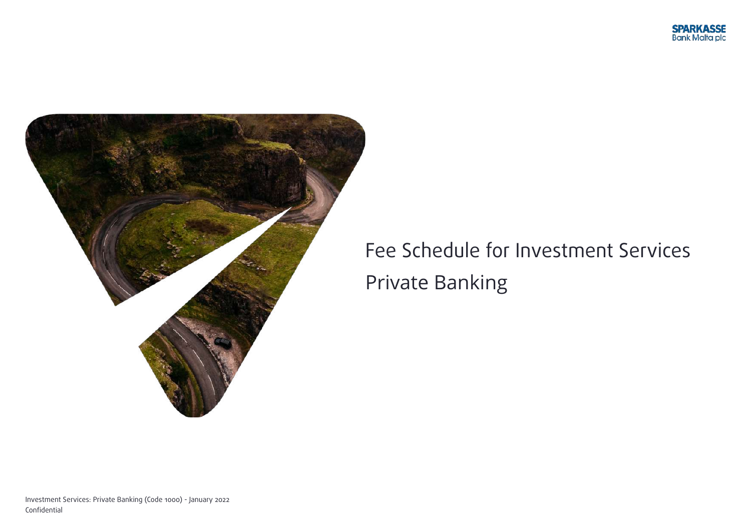



## Fee Schedule for Investment Services Private Banking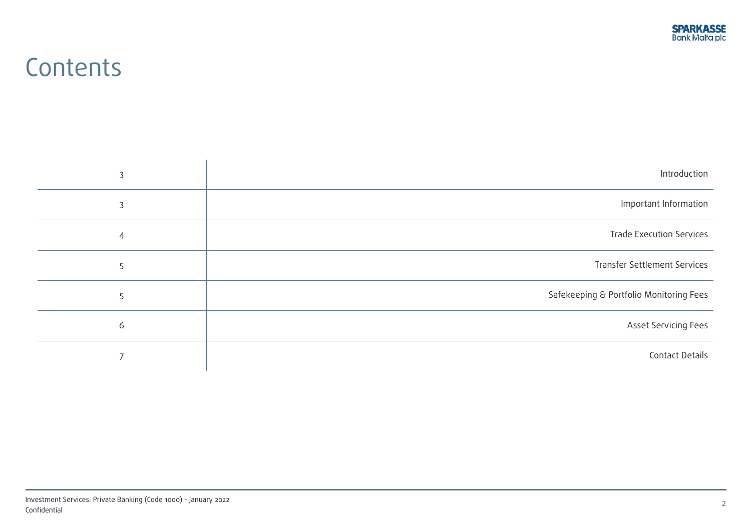### **Contents**

| Introduction                            | 3 |
|-----------------------------------------|---|
| Important Information                   | 3 |
| <b>Trade Execution Services</b>         | 4 |
| <b>Transfer Settlement Services</b>     | 5 |
| Safekeeping & Portfolio Monitoring Fees | 5 |
| <b>Asset Servicing Fees</b>             | 6 |
| <b>Contact Details</b>                  |   |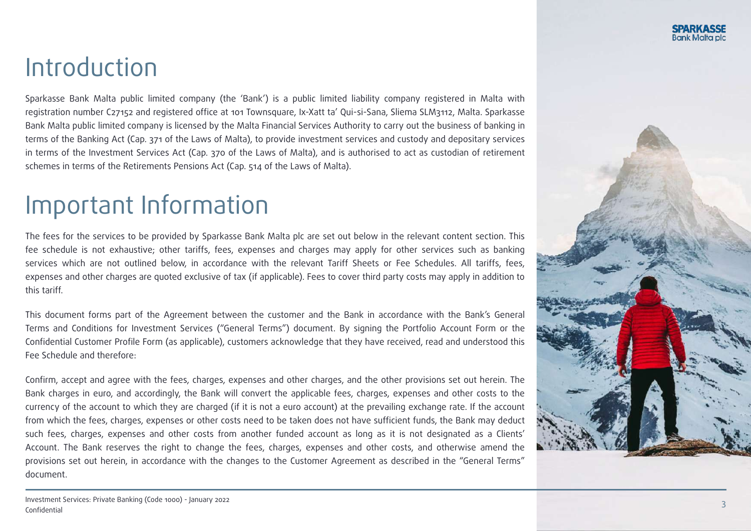### Introduction

Sparkasse Bank Malta public limited company (the 'Bank') is a public limited liability company registered in Malta with registration number C27152 and registered office at 101 Townsquare, Ix-Xatt ta' Qui-si-Sana, Sliema SLM3112, Malta. Sparkasse Bank Malta public limited company is licensed by the Malta Financial Services Authority to carry out the business of banking in terms of the Banking Act (Cap. 371 of the Laws of Malta), to provide investment services and custody and depositary services in terms of the Investment Services Act (Cap. 370 of the Laws of Malta), and is authorised to act as custodian of retirement schemes in terms of the Retirements Pensions Act (Cap. 514 of the Laws of Malta).

### Important Information

The fees for the services to be provided by Sparkasse Bank Malta plc are set out below in the relevant content section. This fee schedule is not exhaustive; other tariffs, fees, expenses and charges may apply for other services such as banking services which are not outlined below, in accordance with the relevant Tariff Sheets or Fee Schedules. All tariffs, fees, expenses and other charges are quoted exclusive of tax (if applicable). Fees to cover third party costs may apply in addition to this tariff.

This document forms part of the Agreement between the customer and the Bank in accordance with the Bank's General Terms and Conditions for Investment Services ("General Terms") document. By signing the Portfolio Account Form or the Confidential Customer Profile Form (as applicable), customers acknowledge that they have received, read and understood this Fee Schedule and therefore:

Confirm, accept and agree with the fees, charges, expenses and other charges, and the other provisions set out herein. The Bank charges in euro, and accordingly, the Bank will convert the applicable fees, charges, expenses and other costs to the currency of the account to which they are charged (if it is not a euro account) at the prevailing exchange rate. If the account from which the fees, charges, expenses or other costs need to be taken does not have sufficient funds, the Bank may deduct such fees, charges, expenses and other costs from another funded account as long as it is not designated as a Clients' Account. The Bank reserves the right to change the fees, charges, expenses and other costs, and otherwise amend the provisions set out herein, in accordance with the changes to the Customer Agreement as described in the "General Terms" document.

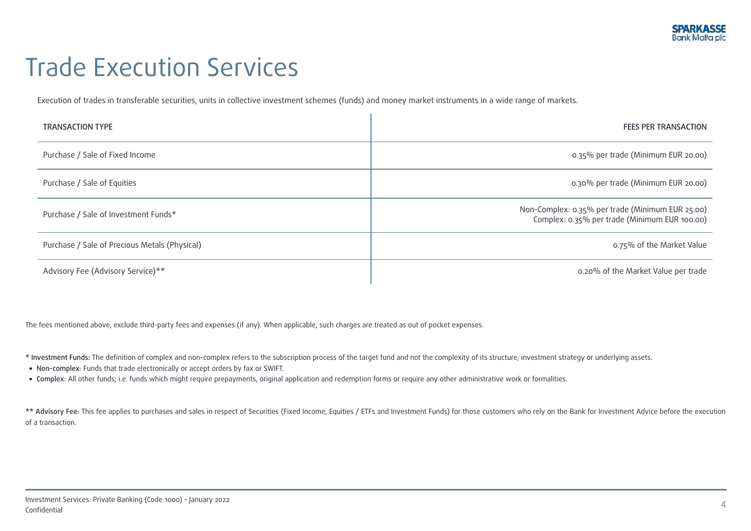## Trade Execution Services

Execution of trades in transferable securities, units in collective investment schemes (funds) and money market instruments in a wide range of markets.

| <b>TRANSACTION TYPE</b>                       | <b>FEES PER TRANSACTION</b>                                                                       |
|-----------------------------------------------|---------------------------------------------------------------------------------------------------|
| Purchase / Sale of Fixed Income               | 0.35% per trade (Minimum EUR 20.00)                                                               |
| Purchase / Sale of Equities                   | 0.30% per trade (Minimum EUR 20.00)                                                               |
| Purchase / Sale of Investment Funds*          | Non-Complex: 0.35% per trade (Minimum EUR 25.00)<br>Complex: 0.35% per trade (Minimum EUR 100.00) |
| Purchase / Sale of Precious Metals (Physical) | 0.75% of the Market Value                                                                         |
| Advisory Fee (Advisory Service)**             | 0.20% of the Market Value per trade                                                               |

à.

The fees mentioned above, exclude third-party fees and expenses (if any). When applicable, such charges are treated as out of pocket expenses.

- \* Investment Funds: The definition of complex and non-complex refers to the subscription process of the target fund and not the complexity of its structure, investment strategy or underlying assets.
- Non-complex: Funds that trade electronically or accept orders by fax or SWIFT.
- Complex: All other funds; i.e. funds which might require prepayments, original application and redemption forms or require any other administrative work or formalities.

\*\* Advisory Fee: This fee applies to purchases and sales in respect of Securities (Fixed Income, Equities / ETFs and Investment Funds) for those customers who rely on the Bank for Investment Advice before the execution of a transaction.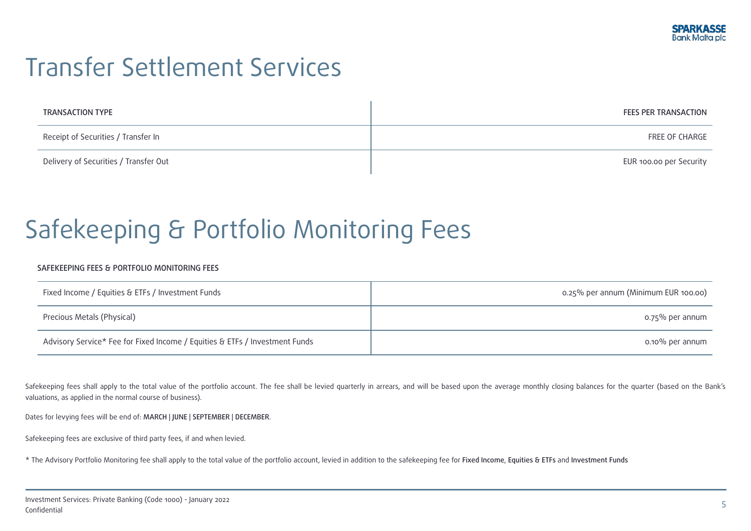## Transfer Settlement Services

| TRANSACTION TYPE                      | <b>FEES PER TRANSACTION</b> |
|---------------------------------------|-----------------------------|
| Receipt of Securities / Transfer In   | FREE OF CHARGE              |
| Delivery of Securities / Transfer Out | EUR 100.00 per Security     |

# Safekeeping & Portfolio Monitoring Fees

#### SAFEKEEPING FEES & PORTFOLIO MONITORING FEES

| Fixed Income / Equities & ETFs / Investment Funds                           | 0.25% per annum (Minimum EUR 100.00) |
|-----------------------------------------------------------------------------|--------------------------------------|
| Precious Metals (Physical)                                                  | o.75% per annum                      |
| Advisory Service* Fee for Fixed Income / Equities & ETFs / Investment Funds | o.10% per annum                      |

Safekeeping fees shall apply to the total value of the portfolio account. The fee shall be levied quarterly in arrears, and will be based upon the average monthly closing balances for the quarter (based on the Bank's valuations, as applied in the normal course of business).

Dates for levying fees will be end of: MARCH | JUNE | SEPTEMBER | DECEMBER.

Safekeeping fees are exclusive of third party fees, if and when levied.

\* The Advisory Portfolio Monitoring fee shall apply to the total value of the portfolio account, levied in addition to the safekeeping fee for Fixed Income, Equities & ETFs and Investment Funds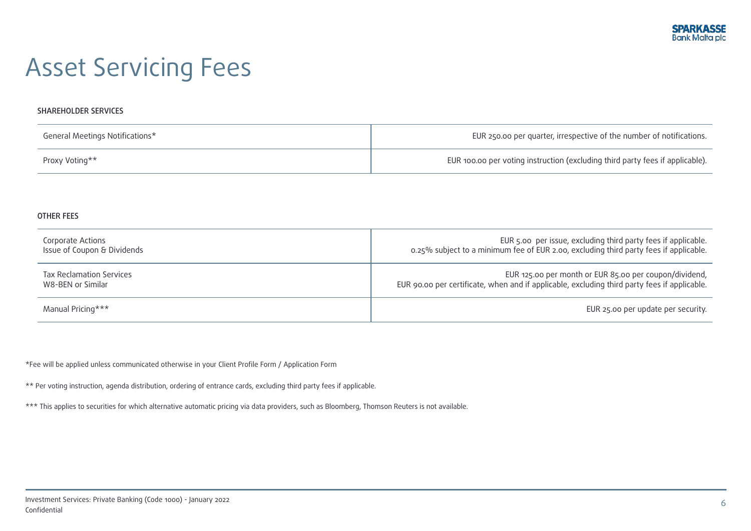# Asset Servicing Fees

#### SHAREHOLDER SERVICES

| General Meetings Notifications* | EUR 250.00 per quarter, irrespective of the number of notifications.          |
|---------------------------------|-------------------------------------------------------------------------------|
| Proxy Voting**                  | EUR 100.00 per voting instruction (excluding third party fees if applicable). |

#### OTHER FEES

| Corporate Actions               | EUR 5.00 per issue, excluding third party fees if applicable.                                |
|---------------------------------|----------------------------------------------------------------------------------------------|
| Issue of Coupon & Dividends     | 0.25% subject to a minimum fee of EUR 2.00, excluding third party fees if applicable.        |
| <b>Tax Reclamation Services</b> | EUR 125.00 per month or EUR 85.00 per coupon/dividend,                                       |
| W8-BEN or Similar               | EUR 90.00 per certificate, when and if applicable, excluding third party fees if applicable. |
| Manual Pricing***               | EUR 25.00 per update per security.                                                           |

\*Fee will be applied unless communicated otherwise in your Client Profile Form / Application Form

\*\* Per voting instruction, agenda distribution, ordering of entrance cards, excluding third party fees if applicable.

\*\*\* This applies to securities for which alternative automatic pricing via data providers, such as Bloomberg, Thomson Reuters is not available.